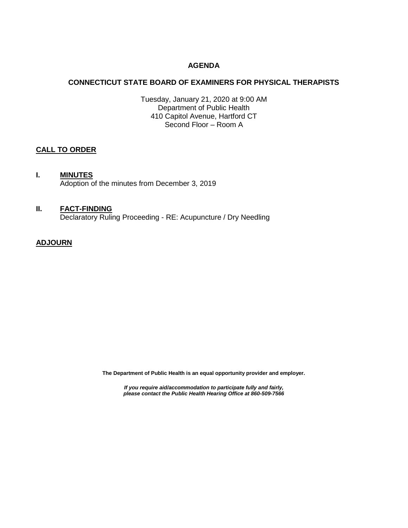### **AGENDA**

## **CONNECTICUT STATE BOARD OF EXAMINERS FOR PHYSICAL THERAPISTS**

Tuesday, January 21, 2020 at 9:00 AM Department of Public Health 410 Capitol Avenue, Hartford CT Second Floor – Room A

# **CALL TO ORDER**

**I. MINUTES** Adoption of the minutes from December 3, 2019

# **II. FACT-FINDING**

Declaratory Ruling Proceeding - RE: Acupuncture / Dry Needling

## **ADJOURN**

**The Department of Public Health is an equal opportunity provider and employer.**

*If you require aid/accommodation to participate fully and fairly, please contact the Public Health Hearing Office at 860-509-7566*